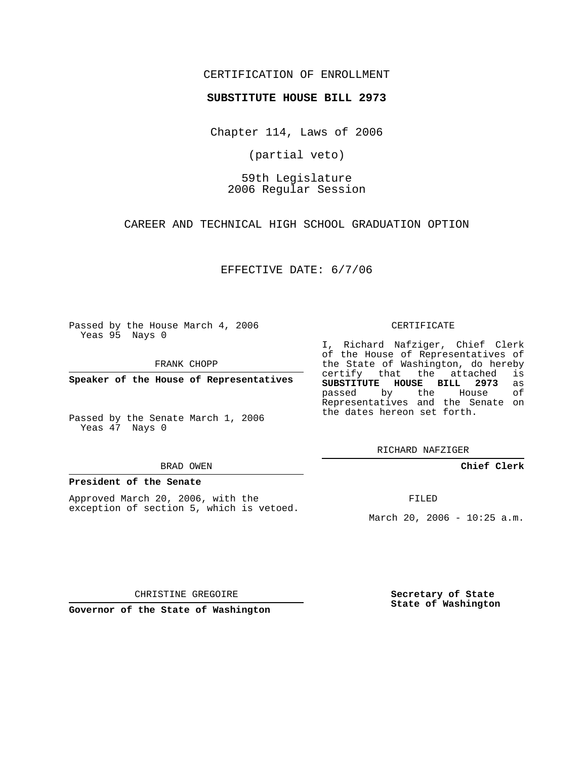## CERTIFICATION OF ENROLLMENT

### **SUBSTITUTE HOUSE BILL 2973**

Chapter 114, Laws of 2006

(partial veto)

# 59th Legislature 2006 Regular Session

CAREER AND TECHNICAL HIGH SCHOOL GRADUATION OPTION

EFFECTIVE DATE: 6/7/06

Passed by the House March 4, 2006 Yeas 95 Nays 0

FRANK CHOPP

**Speaker of the House of Representatives**

Passed by the Senate March 1, 2006 Yeas 47 Nays 0

#### BRAD OWEN

### **President of the Senate**

Approved March 20, 2006, with the exception of section 5, which is vetoed.

#### CERTIFICATE

I, Richard Nafziger, Chief Clerk of the House of Representatives of the State of Washington, do hereby<br>certify that the attached is certify that the attached **SUBSTITUTE HOUSE BILL 2973** as passed by the House Representatives and the Senate on the dates hereon set forth.

RICHARD NAFZIGER

**Chief Clerk**

FILED

March 20, 2006 - 10:25 a.m.

CHRISTINE GREGOIRE

**Governor of the State of Washington**

**Secretary of State State of Washington**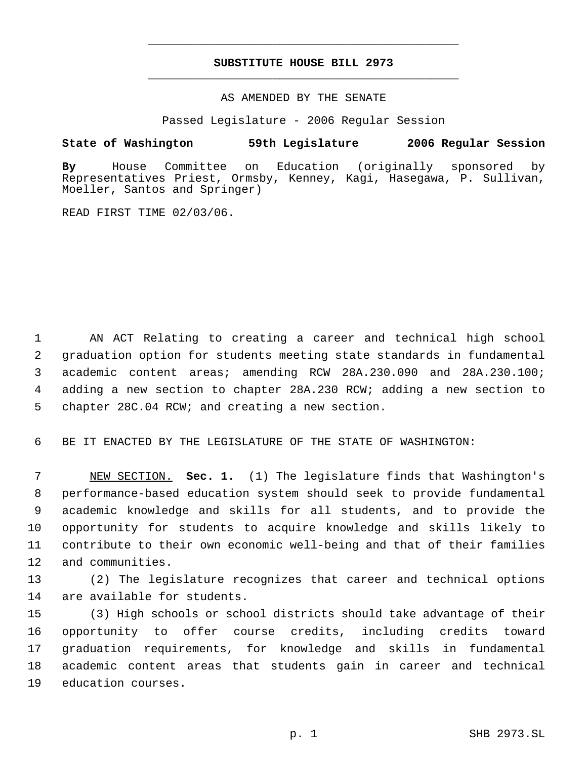# **SUBSTITUTE HOUSE BILL 2973** \_\_\_\_\_\_\_\_\_\_\_\_\_\_\_\_\_\_\_\_\_\_\_\_\_\_\_\_\_\_\_\_\_\_\_\_\_\_\_\_\_\_\_\_\_

\_\_\_\_\_\_\_\_\_\_\_\_\_\_\_\_\_\_\_\_\_\_\_\_\_\_\_\_\_\_\_\_\_\_\_\_\_\_\_\_\_\_\_\_\_

## AS AMENDED BY THE SENATE

Passed Legislature - 2006 Regular Session

## **State of Washington 59th Legislature 2006 Regular Session**

**By** House Committee on Education (originally sponsored by Representatives Priest, Ormsby, Kenney, Kagi, Hasegawa, P. Sullivan, Moeller, Santos and Springer)

READ FIRST TIME 02/03/06.

 AN ACT Relating to creating a career and technical high school graduation option for students meeting state standards in fundamental academic content areas; amending RCW 28A.230.090 and 28A.230.100; adding a new section to chapter 28A.230 RCW; adding a new section to chapter 28C.04 RCW; and creating a new section.

BE IT ENACTED BY THE LEGISLATURE OF THE STATE OF WASHINGTON:

 NEW SECTION. **Sec. 1.** (1) The legislature finds that Washington's performance-based education system should seek to provide fundamental academic knowledge and skills for all students, and to provide the opportunity for students to acquire knowledge and skills likely to contribute to their own economic well-being and that of their families and communities.

 (2) The legislature recognizes that career and technical options are available for students.

 (3) High schools or school districts should take advantage of their opportunity to offer course credits, including credits toward graduation requirements, for knowledge and skills in fundamental academic content areas that students gain in career and technical education courses.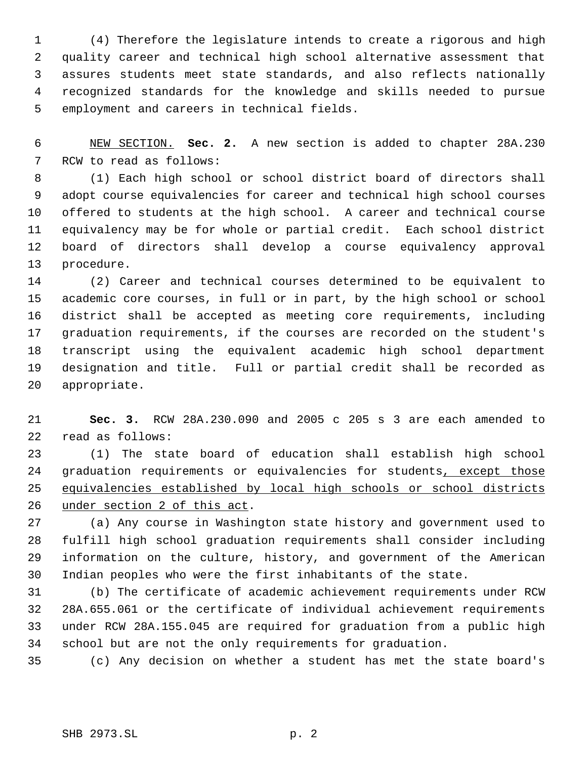(4) Therefore the legislature intends to create a rigorous and high quality career and technical high school alternative assessment that assures students meet state standards, and also reflects nationally recognized standards for the knowledge and skills needed to pursue employment and careers in technical fields.

 NEW SECTION. **Sec. 2.** A new section is added to chapter 28A.230 RCW to read as follows:

 (1) Each high school or school district board of directors shall adopt course equivalencies for career and technical high school courses offered to students at the high school. A career and technical course equivalency may be for whole or partial credit. Each school district board of directors shall develop a course equivalency approval procedure.

 (2) Career and technical courses determined to be equivalent to academic core courses, in full or in part, by the high school or school district shall be accepted as meeting core requirements, including graduation requirements, if the courses are recorded on the student's transcript using the equivalent academic high school department designation and title. Full or partial credit shall be recorded as appropriate.

 **Sec. 3.** RCW 28A.230.090 and 2005 c 205 s 3 are each amended to read as follows:

 (1) The state board of education shall establish high school 24 graduation requirements or equivalencies for students, except those equivalencies established by local high schools or school districts under section 2 of this act.

 (a) Any course in Washington state history and government used to fulfill high school graduation requirements shall consider including information on the culture, history, and government of the American Indian peoples who were the first inhabitants of the state.

 (b) The certificate of academic achievement requirements under RCW 28A.655.061 or the certificate of individual achievement requirements under RCW 28A.155.045 are required for graduation from a public high school but are not the only requirements for graduation.

(c) Any decision on whether a student has met the state board's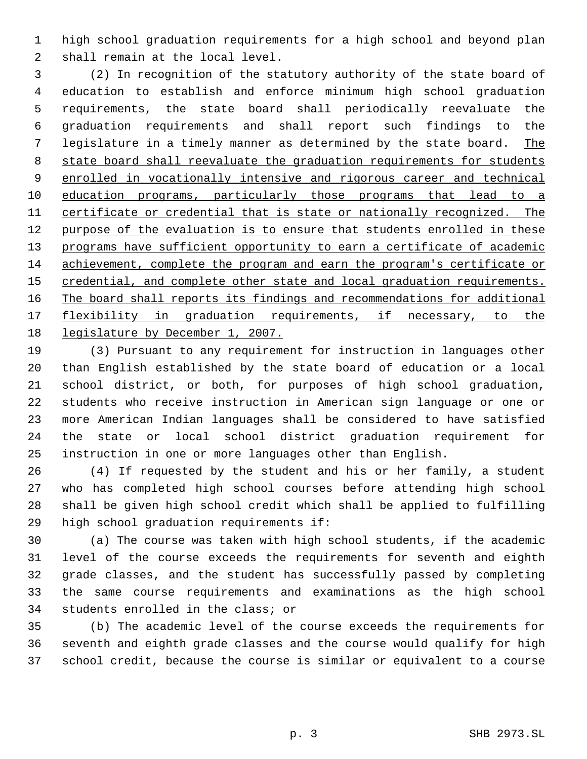high school graduation requirements for a high school and beyond plan shall remain at the local level.

 (2) In recognition of the statutory authority of the state board of education to establish and enforce minimum high school graduation requirements, the state board shall periodically reevaluate the graduation requirements and shall report such findings to the legislature in a timely manner as determined by the state board. The state board shall reevaluate the graduation requirements for students 9 enrolled in vocationally intensive and rigorous career and technical education programs, particularly those programs that lead to a certificate or credential that is state or nationally recognized. The 12 purpose of the evaluation is to ensure that students enrolled in these 13 programs have sufficient opportunity to earn a certificate of academic achievement, complete the program and earn the program's certificate or 15 credential, and complete other state and local graduation requirements. The board shall reports its findings and recommendations for additional 17 flexibility in graduation requirements, if necessary, to the legislature by December 1, 2007.

 (3) Pursuant to any requirement for instruction in languages other than English established by the state board of education or a local school district, or both, for purposes of high school graduation, students who receive instruction in American sign language or one or more American Indian languages shall be considered to have satisfied the state or local school district graduation requirement for instruction in one or more languages other than English.

 (4) If requested by the student and his or her family, a student who has completed high school courses before attending high school shall be given high school credit which shall be applied to fulfilling high school graduation requirements if:

 (a) The course was taken with high school students, if the academic level of the course exceeds the requirements for seventh and eighth grade classes, and the student has successfully passed by completing the same course requirements and examinations as the high school students enrolled in the class; or

 (b) The academic level of the course exceeds the requirements for seventh and eighth grade classes and the course would qualify for high school credit, because the course is similar or equivalent to a course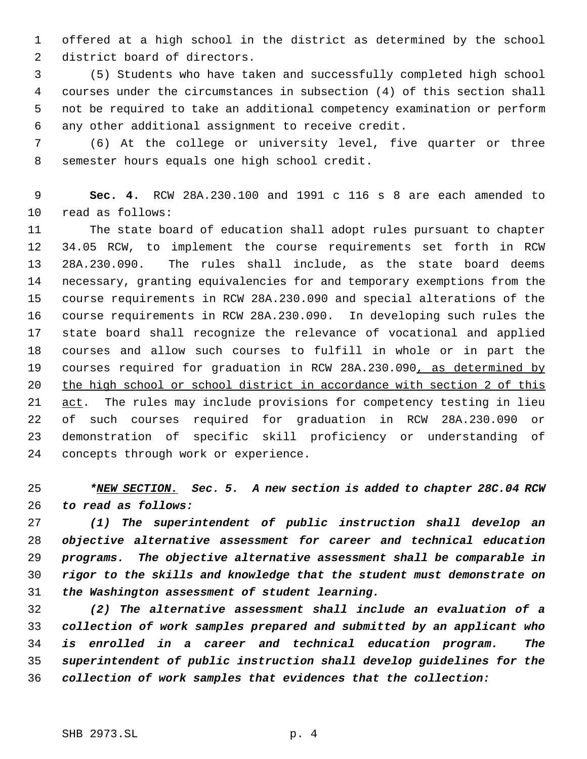offered at a high school in the district as determined by the school district board of directors.

 (5) Students who have taken and successfully completed high school courses under the circumstances in subsection (4) of this section shall not be required to take an additional competency examination or perform any other additional assignment to receive credit.

 (6) At the college or university level, five quarter or three semester hours equals one high school credit.

 **Sec. 4.** RCW 28A.230.100 and 1991 c 116 s 8 are each amended to read as follows:

 The state board of education shall adopt rules pursuant to chapter 34.05 RCW, to implement the course requirements set forth in RCW 28A.230.090. The rules shall include, as the state board deems necessary, granting equivalencies for and temporary exemptions from the course requirements in RCW 28A.230.090 and special alterations of the course requirements in RCW 28A.230.090. In developing such rules the state board shall recognize the relevance of vocational and applied courses and allow such courses to fulfill in whole or in part the 19 courses required for graduation in RCW 28A.230.090, as determined by the high school or school district in accordance with section 2 of this 21 act. The rules may include provisions for competency testing in lieu of such courses required for graduation in RCW 28A.230.090 or demonstration of specific skill proficiency or understanding of concepts through work or experience.

 *\*NEW SECTION. Sec. 5. A new section is added to chapter 28C.04 RCW to read as follows:*

 *(1) The superintendent of public instruction shall develop an objective alternative assessment for career and technical education programs. The objective alternative assessment shall be comparable in rigor to the skills and knowledge that the student must demonstrate on the Washington assessment of student learning.*

 *(2) The alternative assessment shall include an evaluation of a collection of work samples prepared and submitted by an applicant who is enrolled in a career and technical education program. The superintendent of public instruction shall develop guidelines for the collection of work samples that evidences that the collection:*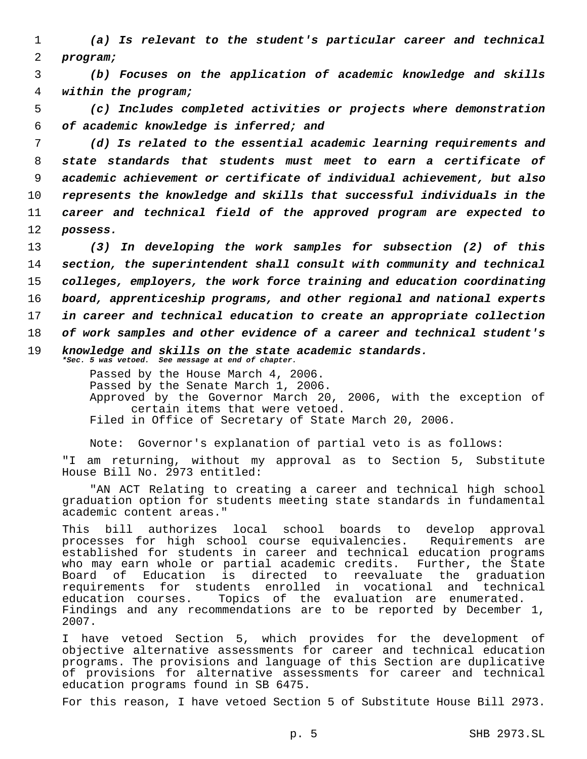1 *(a) Is relevant to the student's particular career and technical* 2 *program;*

 3 *(b) Focuses on the application of academic knowledge and skills* 4 *within the program;*

 5 *(c) Includes completed activities or projects where demonstration* 6 *of academic knowledge is inferred; and*

 *(d) Is related to the essential academic learning requirements and state standards that students must meet to earn a certificate of academic achievement or certificate of individual achievement, but also represents the knowledge and skills that successful individuals in the career and technical field of the approved program are expected to* 12 *possess.*

 *(3) In developing the work samples for subsection (2) of this section, the superintendent shall consult with community and technical colleges, employers, the work force training and education coordinating board, apprenticeship programs, and other regional and national experts in career and technical education to create an appropriate collection of work samples and other evidence of a career and technical student's knowledge and skills on the state academic standards. \*Sec. 5 was vetoed. See message at end of chapter.*

> Passed by the House March 4, 2006. Passed by the Senate March 1, 2006. Approved by the Governor March 20, 2006, with the exception of certain items that were vetoed. Filed in Office of Secretary of State March 20, 2006.

Note: Governor's explanation of partial veto is as follows:

"I am returning, without my approval as to Section 5, Substitute House Bill No. 2973 entitled:

"AN ACT Relating to creating a career and technical high school graduation option for students meeting state standards in fundamental academic content areas."

This bill authorizes local school boards to develop approval processes for high school course equivalencies. Requirements are established for students in career and technical education programs who may earn whole or partial academic credits. Further, the State Board of Education is directed to reevaluate the graduation requirements for students enrolled in vocational and technical education courses. Topics of the evaluation are enumerated. Findings and any recommendations are to be reported by December 1, 2007.

I have vetoed Section 5, which provides for the development of objective alternative assessments for career and technical education programs. The provisions and language of this Section are duplicative of provisions for alternative assessments for career and technical education programs found in SB 6475.

For this reason, I have vetoed Section 5 of Substitute House Bill 2973.